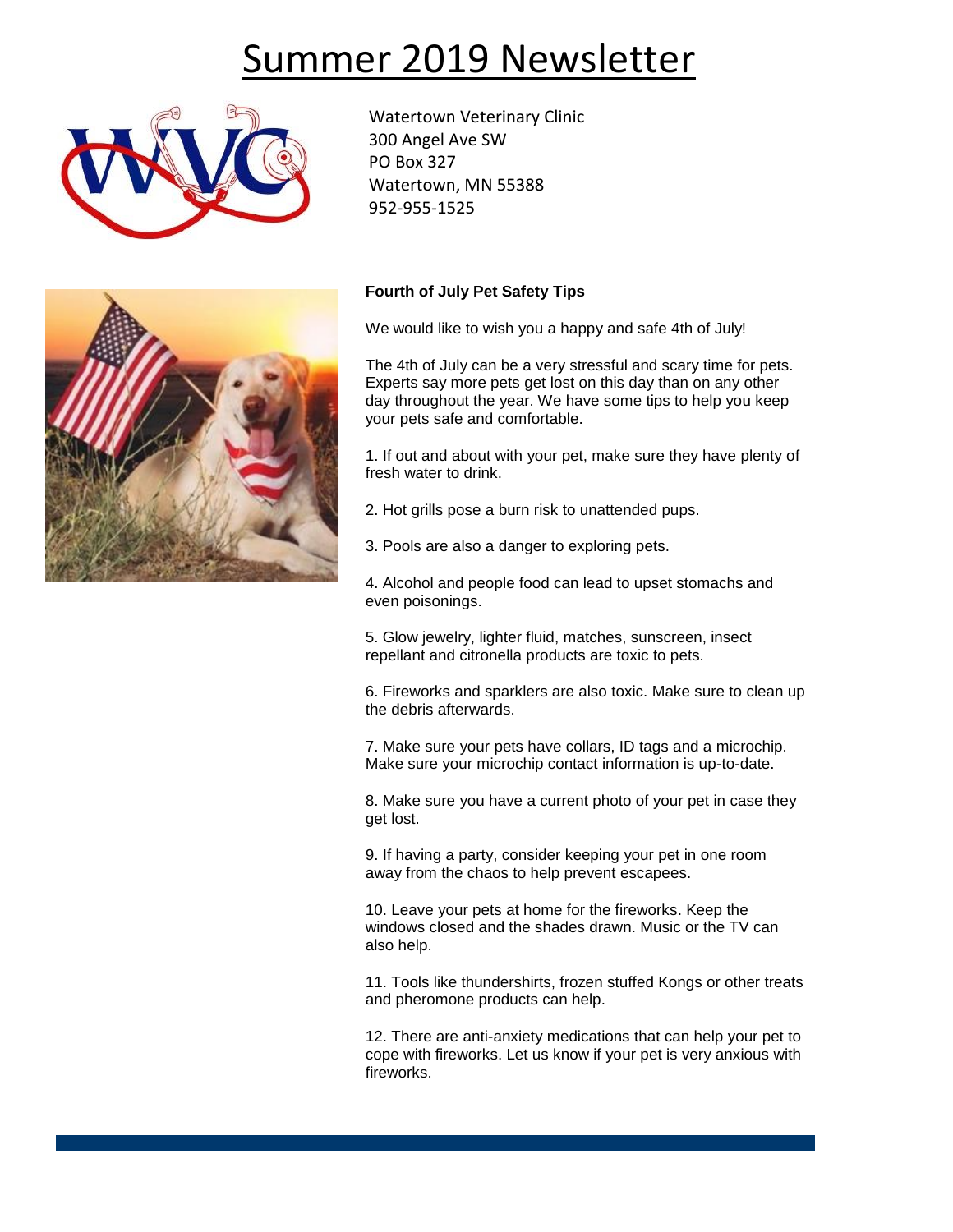# Summer 2019 Newsletter



Watertown Veterinary Clinic 300 Angel Ave SW PO Box 327 Watertown, MN 55388 952-955-1525



### **Fourth of July Pet Safety Tips**

We would like to wish you a happy and safe 4th of July!

The 4th of July can be a very stressful and scary time for pets. Experts say more pets get lost on this day than on any other day throughout the year. We have some tips to help you keep your pets safe and comfortable.

1. If out and about with your pet, make sure they have plenty of fresh water to drink.

- 2. Hot grills pose a burn risk to unattended pups.
- 3. Pools are also a danger to exploring pets.

4. Alcohol and people food can lead to upset stomachs and even poisonings.

5. Glow jewelry, lighter fluid, matches, sunscreen, insect repellant and citronella products are toxic to pets.

6. Fireworks and sparklers are also toxic. Make sure to clean up the debris afterwards.

7. Make sure your pets have collars, ID tags and a microchip. Make sure your microchip contact information is up-to-date.

8. Make sure you have a current photo of your pet in case they get lost.

9. If having a party, consider keeping your pet in one room away from the chaos to help prevent escapees.

10. Leave your pets at home for the fireworks. Keep the windows closed and the shades drawn. Music or the TV can also help.

11. Tools like thundershirts, frozen stuffed Kongs or other treats and pheromone products can help.

12. There are anti-anxiety medications that can help your pet to cope with fireworks. Let us know if your pet is very anxious with fireworks.